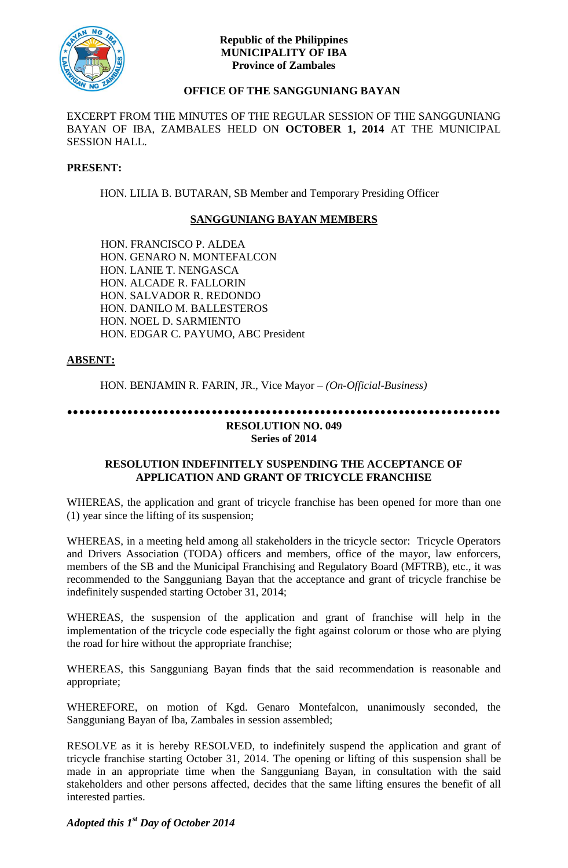

## **Republic of the Philippines MUNICIPALITY OF IBA Province of Zambales**

# **OFFICE OF THE SANGGUNIANG BAYAN**

EXCERPT FROM THE MINUTES OF THE REGULAR SESSION OF THE SANGGUNIANG BAYAN OF IBA, ZAMBALES HELD ON **OCTOBER 1, 2014** AT THE MUNICIPAL SESSION HALL.

#### **PRESENT:**

HON. LILIA B. BUTARAN, SB Member and Temporary Presiding Officer

## **SANGGUNIANG BAYAN MEMBERS**

HON. FRANCISCO P. ALDEA HON. GENARO N. MONTEFALCON HON. LANIE T. NENGASCA HON. ALCADE R. FALLORIN HON. SALVADOR R. REDONDO HON. DANILO M. BALLESTEROS HON. NOEL D. SARMIENTO HON. EDGAR C. PAYUMO, ABC President

## **ABSENT:**

HON. BENJAMIN R. FARIN, JR., Vice Mayor *– (On-Official-Business)*

# **........................................................................ RESOLUTION NO. 049**

**Series of 2014**

#### **RESOLUTION INDEFINITELY SUSPENDING THE ACCEPTANCE OF APPLICATION AND GRANT OF TRICYCLE FRANCHISE**

WHEREAS, the application and grant of tricycle franchise has been opened for more than one (1) year since the lifting of its suspension;

WHEREAS, in a meeting held among all stakeholders in the tricycle sector: Tricycle Operators and Drivers Association (TODA) officers and members, office of the mayor, law enforcers, members of the SB and the Municipal Franchising and Regulatory Board (MFTRB), etc., it was recommended to the Sangguniang Bayan that the acceptance and grant of tricycle franchise be indefinitely suspended starting October 31, 2014;

WHEREAS, the suspension of the application and grant of franchise will help in the implementation of the tricycle code especially the fight against colorum or those who are plying the road for hire without the appropriate franchise;

WHEREAS, this Sangguniang Bayan finds that the said recommendation is reasonable and appropriate;

WHEREFORE, on motion of Kgd. Genaro Montefalcon, unanimously seconded, the Sangguniang Bayan of Iba, Zambales in session assembled;

RESOLVE as it is hereby RESOLVED, to indefinitely suspend the application and grant of tricycle franchise starting October 31, 2014. The opening or lifting of this suspension shall be made in an appropriate time when the Sangguniang Bayan, in consultation with the said stakeholders and other persons affected, decides that the same lifting ensures the benefit of all interested parties.

*Adopted this 1st Day of October 2014*